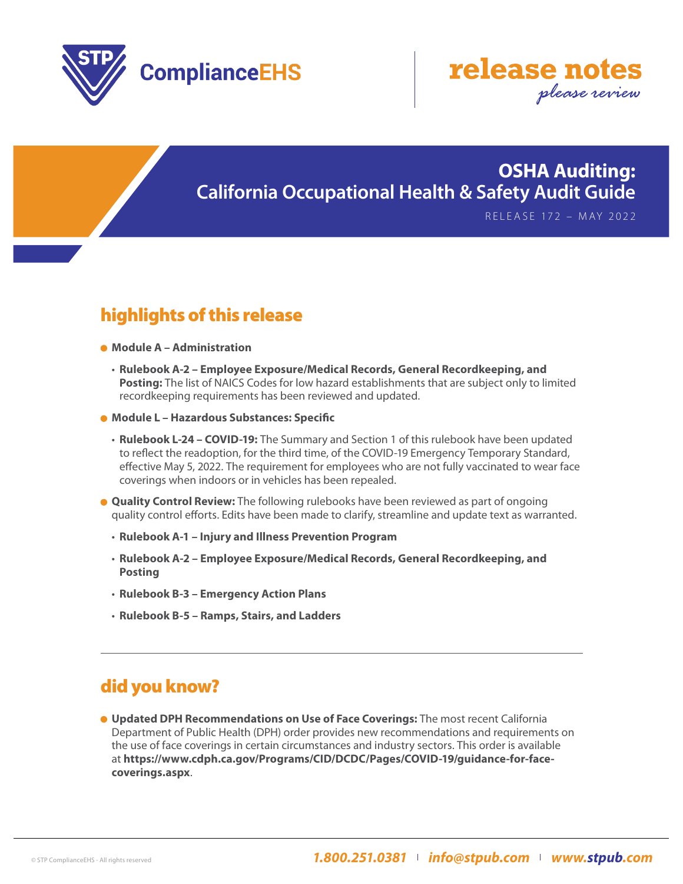



## **OSHA Auditing: California Occupational Health & Safety Audit Guide**

RELEASE 172 – MAY 2022

## highlights of this release

- **Module A Administration**
	- • **Rulebook A-2 Employee Exposure/Medical Records, General Recordkeeping, and Posting:** The list of NAICS Codes for low hazard establishments that are subject only to limited recordkeeping requirements has been reviewed and updated.
- **Module L Hazardous Substances: Specific**
	- • **Rulebook L-24 COVID-19:** The Summary and Section 1 of this rulebook have been updated to reflect the readoption, for the third time, of the COVID-19 Emergency Temporary Standard, effective May 5, 2022. The requirement for employees who are not fully vaccinated to wear face coverings when indoors or in vehicles has been repealed.
- **Quality Control Review:** The following rulebooks have been reviewed as part of ongoing quality control efforts. Edits have been made to clarify, streamline and update text as warranted.
	- • **Rulebook A-1 Injury and Illness Prevention Program**
	- • **Rulebook A-2 Employee Exposure/Medical Records, General Recordkeeping, and Posting**
	- • **Rulebook B-3 Emergency Action Plans**
	- • **Rulebook B-5 Ramps, Stairs, and Ladders**

#### did you know?

**Updated DPH Recommendations on Use of Face Coverings:** The most recent California Department of Public Health (DPH) order provides new recommendations and requirements on the use of face coverings in certain circumstances and industry sectors. This order is available at **[https://www.cdph.ca.gov/Programs/CID/DCDC/Pages/COVID-19/guidance-for-face](https://www.cdph.ca.gov/Programs/CID/DCDC/Pages/COVID-19/guidance-for-face-coverings.aspx)[coverings.aspx](https://www.cdph.ca.gov/Programs/CID/DCDC/Pages/COVID-19/guidance-for-face-coverings.aspx)**.